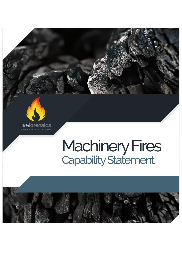

**SOLVING THE PUZZLE OF FIRE**

## Machinery Fires Capability Statement